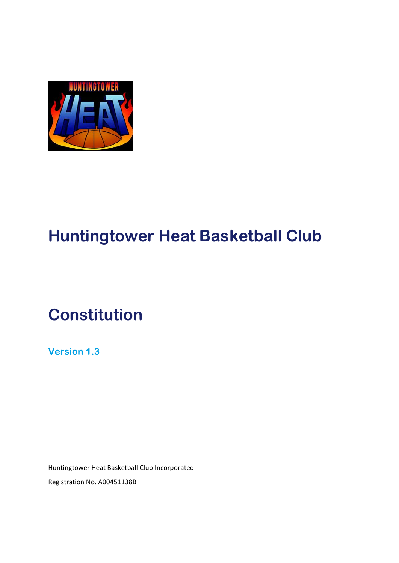

# **Huntingtower Heat Basketball Club**

# **Constitution**

**Version 1.3**

Huntingtower Heat Basketball Club Incorporated Registration No. A00451138B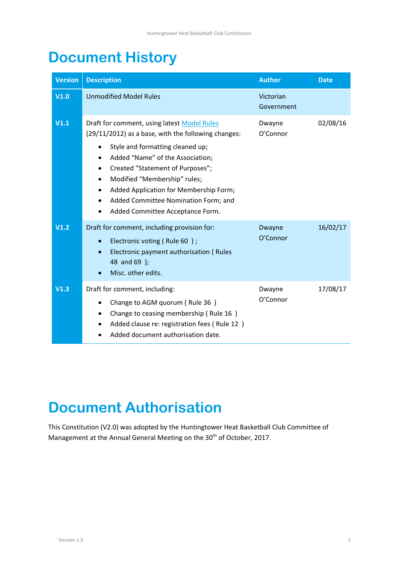# <span id="page-1-0"></span>**Document History**

| <b>Version</b> | <b>Description</b>                                                                                                                                                                                                                                                                                                                                                                                                                                              | <b>Author</b>           | <b>Date</b> |
|----------------|-----------------------------------------------------------------------------------------------------------------------------------------------------------------------------------------------------------------------------------------------------------------------------------------------------------------------------------------------------------------------------------------------------------------------------------------------------------------|-------------------------|-------------|
| V1.0           | <b>Unmodified Model Rules</b>                                                                                                                                                                                                                                                                                                                                                                                                                                   | Victorian<br>Government |             |
| V1.1           | Draft for comment, using latest Model Rules<br>(29/11/2012) as a base, with the following changes:<br>Style and formatting cleaned up;<br>$\bullet$<br>Added "Name" of the Association;<br>$\bullet$<br>Created "Statement of Purposes";<br>$\bullet$<br>Modified "Membership" rules;<br>$\bullet$<br>Added Application for Membership Form;<br>$\bullet$<br>Added Committee Nomination Form; and<br>$\bullet$<br>Added Committee Acceptance Form.<br>$\bullet$ | Dwayne<br>O'Connor      | 02/08/16    |
| V1.2           | Draft for comment, including provision for:<br>Electronic voting (Rule 60);<br>$\bullet$<br>Electronic payment authorisation (Rules<br>$\bullet$<br>48 and 69 );<br>Misc. other edits.                                                                                                                                                                                                                                                                          | Dwayne<br>O'Connor      | 16/02/17    |
| V1.3           | Draft for comment, including:<br>Change to AGM quorum (Rule 36)<br>٠<br>Change to ceasing membership (Rule 16)<br>$\bullet$<br>Added clause re: registration fees (Rule 12)<br>$\bullet$<br>Added document authorisation date.                                                                                                                                                                                                                                  | Dwayne<br>O'Connor      | 17/08/17    |

# <span id="page-1-1"></span>**Document Authorisation**

This Constitution (V2.0) was adopted by the Huntingtower Heat Basketball Club Committee of Management at the Annual General Meeting on the 30<sup>th</sup> of October, 2017.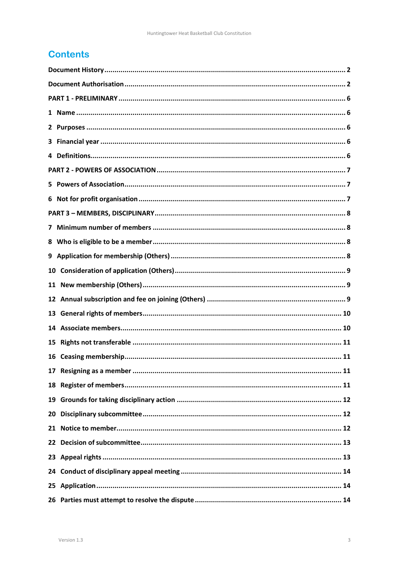# **Contents**

| 3. |  |  |  |
|----|--|--|--|
|    |  |  |  |
|    |  |  |  |
|    |  |  |  |
| 6  |  |  |  |
|    |  |  |  |
|    |  |  |  |
|    |  |  |  |
|    |  |  |  |
| 10 |  |  |  |
| 11 |  |  |  |
|    |  |  |  |
| 13 |  |  |  |
| 14 |  |  |  |
| 15 |  |  |  |
| 16 |  |  |  |
|    |  |  |  |
|    |  |  |  |
| 19 |  |  |  |
| 20 |  |  |  |
|    |  |  |  |
|    |  |  |  |
|    |  |  |  |
|    |  |  |  |
|    |  |  |  |
|    |  |  |  |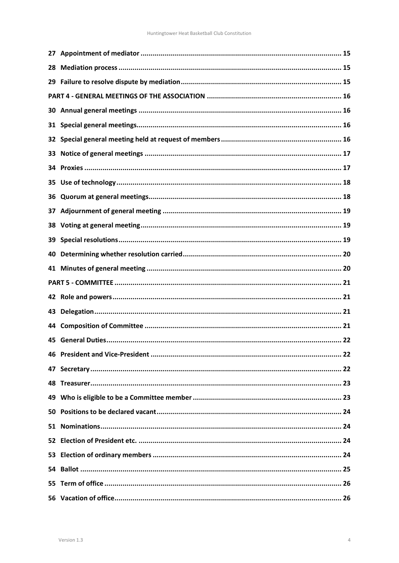| 28  |  |
|-----|--|
|     |  |
|     |  |
| 30. |  |
| 31  |  |
| 32  |  |
| 33  |  |
|     |  |
| 35  |  |
| 36. |  |
| 37  |  |
| 38  |  |
| 39  |  |
| 40  |  |
|     |  |
|     |  |
|     |  |
| 43  |  |
| 44  |  |
| 45  |  |
|     |  |
|     |  |
|     |  |
|     |  |
|     |  |
|     |  |
|     |  |
| 53  |  |
|     |  |
|     |  |
|     |  |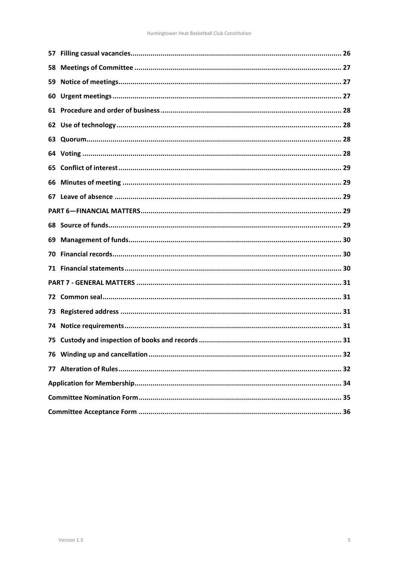| 59  |  |  |
|-----|--|--|
| 60  |  |  |
| 61  |  |  |
| 62  |  |  |
| 63  |  |  |
|     |  |  |
| 65  |  |  |
| 66  |  |  |
|     |  |  |
|     |  |  |
|     |  |  |
| 69  |  |  |
| 70. |  |  |
|     |  |  |
|     |  |  |
| 72. |  |  |
| 73. |  |  |
| 74. |  |  |
|     |  |  |
|     |  |  |
|     |  |  |
|     |  |  |
|     |  |  |
|     |  |  |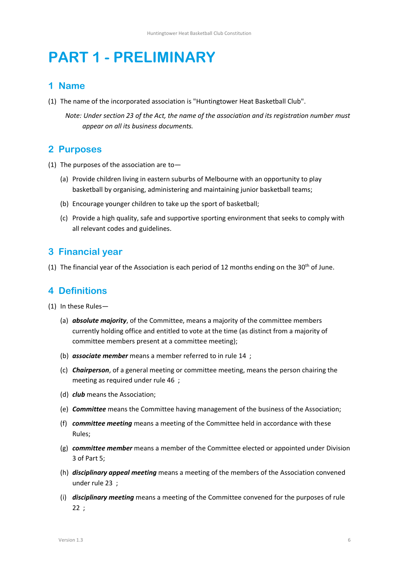# <span id="page-5-0"></span>**PART 1 - PRELIMINARY**

### <span id="page-5-1"></span>**1 Name**

(1) The name of the incorporated association is "Huntingtower Heat Basketball Club".

*Note: Under section 23 of the Act, the name of the association and its registration number must appear on all its business documents.*

# <span id="page-5-2"></span>**2 Purposes**

- (1) The purposes of the association are to-
	- (a) Provide children living in eastern suburbs of Melbourne with an opportunity to play basketball by organising, administering and maintaining junior basketball teams;
	- (b) Encourage younger children to take up the sport of basketball;
	- (c) Provide a high quality, safe and supportive sporting environment that seeks to comply with all relevant codes and guidelines.

## <span id="page-5-3"></span>**3 Financial year**

(1) The financial year of the Association is each period of 12 months ending on the 30<sup>th</sup> of June.

# <span id="page-5-4"></span>**4 Definitions**

- (1) In these Rules—
	- (a) *absolute majority*, of the Committee, means a majority of the committee members currently holding office and entitled to vote at the time (as distinct from a majority of committee members present at a committee meeting);
	- (b) *associate member* means a member referred to in rule [14 ;](#page-9-1)
	- (c) *Chairperson*, of a general meeting or committee meeting, means the person chairing the meeting as required under rule [46 ;](#page-21-1)
	- (d) *club* means the Association;
	- (e) *Committee* means the Committee having management of the business of the Association;
	- (f) *committee meeting* means a meeting of the Committee held in accordance with these Rules;
	- (g) *committee member* means a member of the Committee elected or appointed under Division 3 of Part 5;
	- (h) *disciplinary appeal meeting* means a meeting of the members of the Association convened under rule [23 ;](#page-12-1)
	- (i) *disciplinary meeting* means a meeting of the Committee convened for the purposes of rule [22 ;](#page-12-0)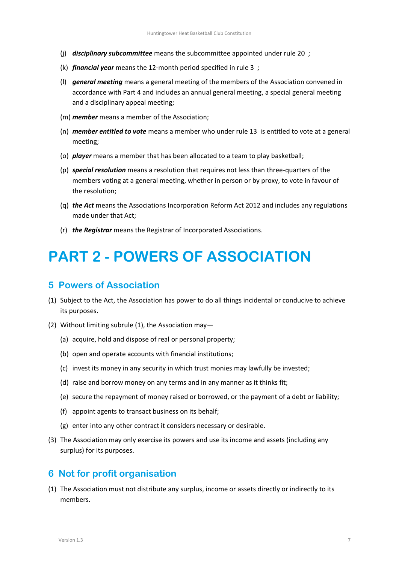- (j) *disciplinary subcommittee* means the subcommittee appointed under rule [20 ;](#page-11-1)
- (k) *financial year* means the 12-month period specified in rule [3 ;](#page-5-3)
- (l) *general meeting* means a general meeting of the members of the Association convened in accordance with Part 4 and includes an annual general meeting, a special general meeting and a disciplinary appeal meeting;
- (m) *member* means a member of the Association;
- (n) *member entitled to vote* means a member who under rule [13 i](#page-9-0)s entitled to vote at a general meeting;
- (o) *player* means a member that has been allocated to a team to play basketball;
- (p) *special resolution* means a resolution that requires not less than three-quarters of the members voting at a general meeting, whether in person or by proxy, to vote in favour of the resolution;
- (q) *the Act* means the Associations Incorporation Reform Act 2012 and includes any regulations made under that Act;
- (r) *the Registrar* means the Registrar of Incorporated Associations.

# <span id="page-6-0"></span>**PART 2 - POWERS OF ASSOCIATION**

### <span id="page-6-1"></span>**5 Powers of Association**

- <span id="page-6-3"></span>(1) Subject to the Act, the Association has power to do all things incidental or conducive to achieve its purposes.
- (2) Without limiting subrul[e \(1\),](#page-6-3) the Association may—
	- (a) acquire, hold and dispose of real or personal property;
	- (b) open and operate accounts with financial institutions;
	- (c) invest its money in any security in which trust monies may lawfully be invested;
	- (d) raise and borrow money on any terms and in any manner as it thinks fit;
	- (e) secure the repayment of money raised or borrowed, or the payment of a debt or liability;
	- (f) appoint agents to transact business on its behalf;
	- (g) enter into any other contract it considers necessary or desirable.
- (3) The Association may only exercise its powers and use its income and assets (including any surplus) for its purposes.

### <span id="page-6-2"></span>**6 Not for profit organisation**

<span id="page-6-4"></span>(1) The Association must not distribute any surplus, income or assets directly or indirectly to its members.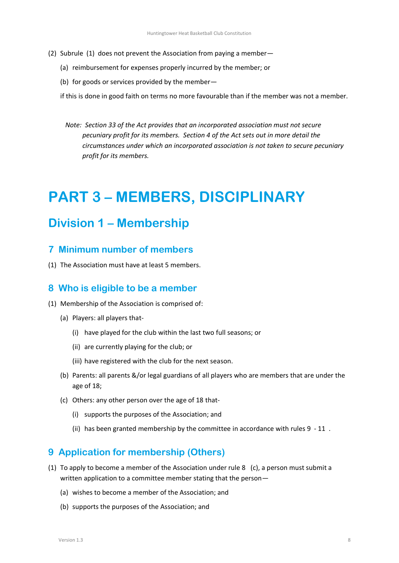- (2) Subrule [\(1\)](#page-6-4) does not prevent the Association from paying a member—
	- (a) reimbursement for expenses properly incurred by the member; or
	- (b) for goods or services provided by the member—

if this is done in good faith on terms no more favourable than if the member was not a member.

*Note: Section 33 of the Act provides that an incorporated association must not secure pecuniary profit for its members. Section 4 of the Act sets out in more detail the circumstances under which an incorporated association is not taken to secure pecuniary profit for its members.*

# <span id="page-7-0"></span>**PART 3 – MEMBERS, DISCIPLINARY**

# **Division 1 – Membership**

### <span id="page-7-1"></span>**7 Minimum number of members**

(1) The Association must have at least 5 members.

### <span id="page-7-2"></span>**8 Who is eligible to be a member**

- (1) Membership of the Association is comprised of:
	- (a) Players: all players that-
		- (i) have played for the club within the last two full seasons; or
		- (ii) are currently playing for the club; or
		- (iii) have registered with the club for the next season.
	- (b) Parents: all parents &/or legal guardians of all players who are members that are under the age of 18;
	- (c) Others: any other person over the age of 18 that-
		- (i) supports the purposes of the Association; and
		- (ii) has been granted membership by the committee in accordance with rules [9 -](#page-7-3) [11 .](#page-8-2)

### <span id="page-7-3"></span>**9 Application for membership (Others)**

- (1) To apply to become a member of the Association under rule [8](#page-7-2) (c), a person must submit a written application to a committee member stating that the person—
	- (a) wishes to become a member of the Association; and
	- (b) supports the purposes of the Association; and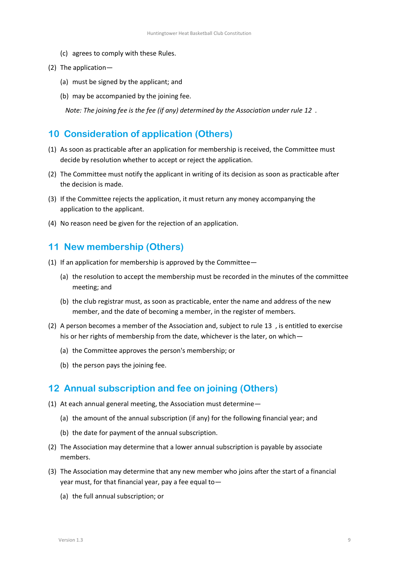- (c) agrees to comply with these Rules.
- (2) The application—
	- (a) must be signed by the applicant; and
	- (b) may be accompanied by the joining fee.

*Note: The joining fee is the fee (if any) determined by the Association under rule [12 .](#page-8-0)*

# <span id="page-8-1"></span>**10 Consideration of application (Others)**

- (1) As soon as practicable after an application for membership is received, the Committee must decide by resolution whether to accept or reject the application.
- (2) The Committee must notify the applicant in writing of its decision as soon as practicable after the decision is made.
- (3) If the Committee rejects the application, it must return any money accompanying the application to the applicant.
- (4) No reason need be given for the rejection of an application.

# <span id="page-8-2"></span>**11 New membership (Others)**

- (1) If an application for membership is approved by the Committee—
	- (a) the resolution to accept the membership must be recorded in the minutes of the committee meeting; and
	- (b) the club registrar must, as soon as practicable, enter the name and address of the new member, and the date of becoming a member, in the register of members.
- (2) A person becomes a member of the Association and, subject to rule [13 ,](#page-9-0) is entitled to exercise his or her rights of membership from the date, whichever is the later, on which-
	- (a) the Committee approves the person's membership; or
	- (b) the person pays the joining fee.

# <span id="page-8-0"></span>**12 Annual subscription and fee on joining (Others)**

- (1) At each annual general meeting, the Association must determine—
	- (a) the amount of the annual subscription (if any) for the following financial year; and
	- (b) the date for payment of the annual subscription.
- (2) The Association may determine that a lower annual subscription is payable by associate members.
- (3) The Association may determine that any new member who joins after the start of a financial year must, for that financial year, pay a fee equal to—
	- (a) the full annual subscription; or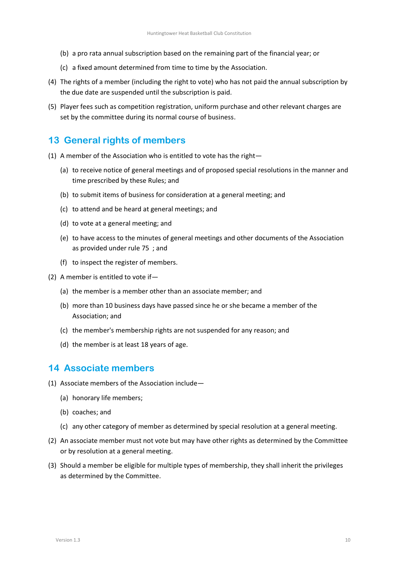- (b) a pro rata annual subscription based on the remaining part of the financial year; or
- (c) a fixed amount determined from time to time by the Association.
- (4) The rights of a member (including the right to vote) who has not paid the annual subscription by the due date are suspended until the subscription is paid.
- (5) Player fees such as competition registration, uniform purchase and other relevant charges are set by the committee during its normal course of business.

# <span id="page-9-0"></span>**13 General rights of members**

- (1) A member of the Association who is entitled to vote has the right—
	- (a) to receive notice of general meetings and of proposed special resolutions in the manner and time prescribed by these Rules; and
	- (b) to submit items of business for consideration at a general meeting; and
	- (c) to attend and be heard at general meetings; and
	- (d) to vote at a general meeting; and
	- (e) to have access to the minutes of general meetings and other documents of the Association as provided under rul[e 75 ;](#page-30-4) and
	- (f) to inspect the register of members.
- (2) A member is entitled to vote if—
	- (a) the member is a member other than an associate member; and
	- (b) more than 10 business days have passed since he or she became a member of the Association; and
	- (c) the member's membership rights are not suspended for any reason; and
	- (d) the member is at least 18 years of age.

### <span id="page-9-1"></span>**14 Associate members**

- (1) Associate members of the Association include—
	- (a) honorary life members;
	- (b) coaches; and
	- (c) any other category of member as determined by special resolution at a general meeting.
- (2) An associate member must not vote but may have other rights as determined by the Committee or by resolution at a general meeting.
- (3) Should a member be eligible for multiple types of membership, they shall inherit the privileges as determined by the Committee.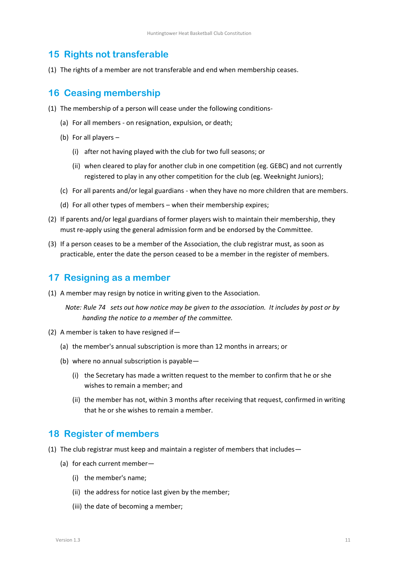## <span id="page-10-1"></span>**15 Rights not transferable**

(1) The rights of a member are not transferable and end when membership ceases.

# <span id="page-10-0"></span>**16 Ceasing membership**

- (1) The membership of a person will cease under the following conditions-
	- (a) For all members on resignation, expulsion, or death;
	- (b) For all players
		- (i) after not having played with the club for two full seasons; or
		- (ii) when cleared to play for another club in one competition (eg. GEBC) and not currently registered to play in any other competition for the club (eg. Weeknight Juniors);
	- (c) For all parents and/or legal guardians when they have no more children that are members.
	- (d) For all other types of members when their membership expires;
- (2) If parents and/or legal guardians of former players wish to maintain their membership, they must re-apply using the general admission form and be endorsed by the Committee.
- (3) If a person ceases to be a member of the Association, the club registrar must, as soon as practicable, enter the date the person ceased to be a member in the register of members.

# <span id="page-10-2"></span>**17 Resigning as a member**

(1) A member may resign by notice in writing given to the Association.

*Note: Rul[e 74](#page-30-3) sets out how notice may be given to the association. It includes by post or by handing the notice to a member of the committee.*

- (2) A member is taken to have resigned if—
	- (a) the member's annual subscription is more than 12 months in arrears; or
	- (b) where no annual subscription is payable—
		- (i) the Secretary has made a written request to the member to confirm that he or she wishes to remain a member; and
		- (ii) the member has not, within 3 months after receiving that request, confirmed in writing that he or she wishes to remain a member.

### <span id="page-10-3"></span>**18 Register of members**

- (1) The club registrar must keep and maintain a register of members that includes—
	- (a) for each current member—
		- (i) the member's name;
		- (ii) the address for notice last given by the member;
		- (iii) the date of becoming a member;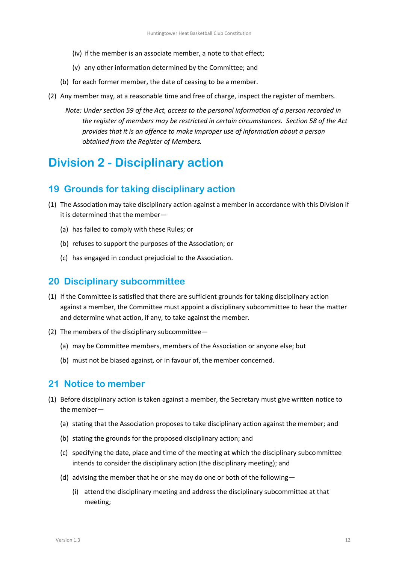- (iv) if the member is an associate member, a note to that effect;
- (v) any other information determined by the Committee; and
- (b) for each former member, the date of ceasing to be a member.
- <span id="page-11-3"></span>(2) Any member may, at a reasonable time and free of charge, inspect the register of members.
	- *Note: Under section 59 of the Act, access to the personal information of a person recorded in the register of members may be restricted in certain circumstances. Section 58 of the Act provides that it is an offence to make improper use of information about a person obtained from the Register of Members.*

# **Division 2 - Disciplinary action**

### <span id="page-11-0"></span>**19 Grounds for taking disciplinary action**

- (1) The Association may take disciplinary action against a member in accordance with this Division if it is determined that the member—
	- (a) has failed to comply with these Rules; or
	- (b) refuses to support the purposes of the Association; or
	- (c) has engaged in conduct prejudicial to the Association.

### <span id="page-11-1"></span>**20 Disciplinary subcommittee**

- (1) If the Committee is satisfied that there are sufficient grounds for taking disciplinary action against a member, the Committee must appoint a disciplinary subcommittee to hear the matter and determine what action, if any, to take against the member.
- (2) The members of the disciplinary subcommittee—
	- (a) may be Committee members, members of the Association or anyone else; but
	- (b) must not be biased against, or in favour of, the member concerned.

### <span id="page-11-2"></span>**21 Notice to member**

- (1) Before disciplinary action is taken against a member, the Secretary must give written notice to the member—
	- (a) stating that the Association proposes to take disciplinary action against the member; and
	- (b) stating the grounds for the proposed disciplinary action; and
	- (c) specifying the date, place and time of the meeting at which the disciplinary subcommittee intends to consider the disciplinary action (the disciplinary meeting); and
	- (d) advising the member that he or she may do one or both of the following—
		- (i) attend the disciplinary meeting and address the disciplinary subcommittee at that meeting;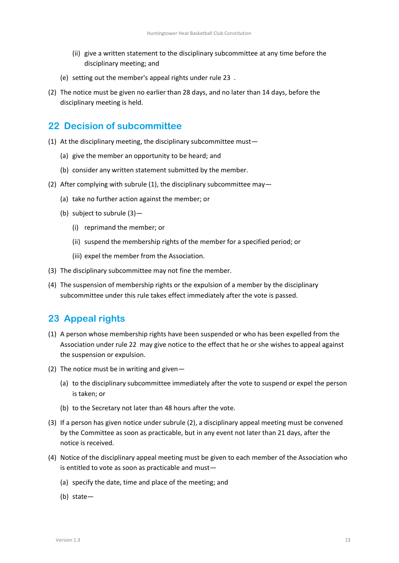- (ii) give a written statement to the disciplinary subcommittee at any time before the disciplinary meeting; and
- (e) setting out the member's appeal rights under rule [23 .](#page-12-1)
- (2) The notice must be given no earlier than 28 days, and no later than 14 days, before the disciplinary meeting is held.

# <span id="page-12-0"></span>**22 Decision of subcommittee**

- <span id="page-12-2"></span>(1) At the disciplinary meeting, the disciplinary subcommittee must—
	- (a) give the member an opportunity to be heard; and
	- (b) consider any written statement submitted by the member.
- <span id="page-12-4"></span>(2) After complying with subrule [\(1\),](#page-12-2) the disciplinary subcommittee may—
	- (a) take no further action against the member; or
	- (b) subject to subrul[e \(3\)](#page-12-3)
		- (i) reprimand the member; or
		- (ii) suspend the membership rights of the member for a specified period; or
		- (iii) expel the member from the Association.
- <span id="page-12-3"></span>(3) The disciplinary subcommittee may not fine the member.
- (4) The suspension of membership rights or the expulsion of a member by the disciplinary subcommittee under this rule takes effect immediately after the vote is passed.

### <span id="page-12-1"></span>**23 Appeal rights**

- (1) A person whose membership rights have been suspended or who has been expelled from the Association under rul[e 22 m](#page-12-0)ay give notice to the effect that he or she wishes to appeal against the suspension or expulsion.
- (2) The notice must be in writing and given—
	- (a) to the disciplinary subcommittee immediately after the vote to suspend or expel the person is taken; or
	- (b) to the Secretary not later than 48 hours after the vote.
- (3) If a person has given notice under subrul[e \(2\),](#page-12-4) a disciplinary appeal meeting must be convened by the Committee as soon as practicable, but in any event not later than 21 days, after the notice is received.
- (4) Notice of the disciplinary appeal meeting must be given to each member of the Association who is entitled to vote as soon as practicable and must—
	- (a) specify the date, time and place of the meeting; and
	- (b) state—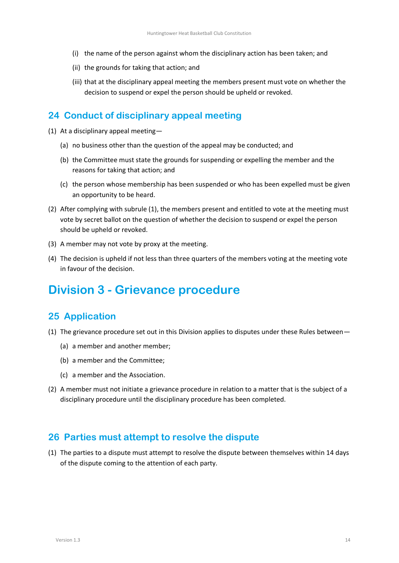- (i) the name of the person against whom the disciplinary action has been taken; and
- (ii) the grounds for taking that action; and
- (iii) that at the disciplinary appeal meeting the members present must vote on whether the decision to suspend or expel the person should be upheld or revoked.

## <span id="page-13-0"></span>**24 Conduct of disciplinary appeal meeting**

- <span id="page-13-3"></span>(1) At a disciplinary appeal meeting—
	- (a) no business other than the question of the appeal may be conducted; and
	- (b) the Committee must state the grounds for suspending or expelling the member and the reasons for taking that action; and
	- (c) the person whose membership has been suspended or who has been expelled must be given an opportunity to be heard.
- (2) After complying with subrule [\(1\),](#page-13-3) the members present and entitled to vote at the meeting must vote by secret ballot on the question of whether the decision to suspend or expel the person should be upheld or revoked.
- (3) A member may not vote by proxy at the meeting.
- (4) The decision is upheld if not less than three quarters of the members voting at the meeting vote in favour of the decision.

# **Division 3 - Grievance procedure**

# <span id="page-13-1"></span>**25 Application**

- (1) The grievance procedure set out in this Division applies to disputes under these Rules between—
	- (a) a member and another member;
	- (b) a member and the Committee;
	- (c) a member and the Association.
- (2) A member must not initiate a grievance procedure in relation to a matter that is the subject of a disciplinary procedure until the disciplinary procedure has been completed.

### <span id="page-13-2"></span>**26 Parties must attempt to resolve the dispute**

(1) The parties to a dispute must attempt to resolve the dispute between themselves within 14 days of the dispute coming to the attention of each party.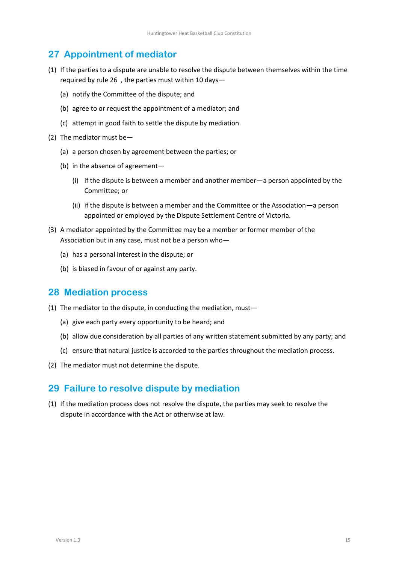# <span id="page-14-0"></span>**27 Appointment of mediator**

- (1) If the parties to a dispute are unable to resolve the dispute between themselves within the time required by rule [26 ,](#page-13-2) the parties must within 10 days—
	- (a) notify the Committee of the dispute; and
	- (b) agree to or request the appointment of a mediator; and
	- (c) attempt in good faith to settle the dispute by mediation.
- (2) The mediator must be—
	- (a) a person chosen by agreement between the parties; or
	- (b) in the absence of agreement—
		- (i) if the dispute is between a member and another member—a person appointed by the Committee; or
		- (ii) if the dispute is between a member and the Committee or the Association—a person appointed or employed by the Dispute Settlement Centre of Victoria.
- (3) A mediator appointed by the Committee may be a member or former member of the Association but in any case, must not be a person who—
	- (a) has a personal interest in the dispute; or
	- (b) is biased in favour of or against any party.

### <span id="page-14-1"></span>**28 Mediation process**

- (1) The mediator to the dispute, in conducting the mediation, must—
	- (a) give each party every opportunity to be heard; and
	- (b) allow due consideration by all parties of any written statement submitted by any party; and
	- (c) ensure that natural justice is accorded to the parties throughout the mediation process.
- (2) The mediator must not determine the dispute.

### <span id="page-14-2"></span>**29 Failure to resolve dispute by mediation**

(1) If the mediation process does not resolve the dispute, the parties may seek to resolve the dispute in accordance with the Act or otherwise at law.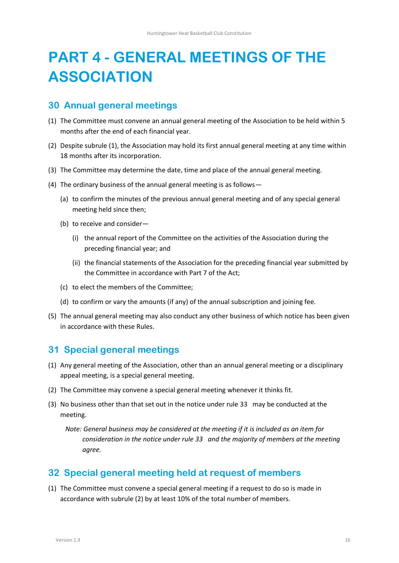# <span id="page-15-0"></span>**PART 4 - GENERAL MEETINGS OF THE ASSOCIATION**

### <span id="page-15-1"></span>**30 Annual general meetings**

- <span id="page-15-4"></span>(1) The Committee must convene an annual general meeting of the Association to be held within 5 months after the end of each financial year.
- (2) Despite subrul[e \(1\),](#page-15-4) the Association may hold its first annual general meeting at any time within 18 months after its incorporation.
- (3) The Committee may determine the date, time and place of the annual general meeting.
- (4) The ordinary business of the annual general meeting is as follows—
	- (a) to confirm the minutes of the previous annual general meeting and of any special general meeting held since then;
	- (b) to receive and consider—
		- (i) the annual report of the Committee on the activities of the Association during the preceding financial year; and
		- (ii) the financial statements of the Association for the preceding financial year submitted by the Committee in accordance with Part 7 of the Act;
	- (c) to elect the members of the Committee;
	- (d) to confirm or vary the amounts (if any) of the annual subscription and joining fee.
- (5) The annual general meeting may also conduct any other business of which notice has been given in accordance with these Rules.

### <span id="page-15-2"></span>**31 Special general meetings**

- (1) Any general meeting of the Association, other than an annual general meeting or a disciplinary appeal meeting, is a special general meeting.
- (2) The Committee may convene a special general meeting whenever it thinks fit.
- (3) No business other than that set out in the notice under rule [33](#page-16-0) may be conducted at the meeting.

*Note: General business may be considered at the meeting if it is included as an item for consideration in the notice under rule [33](#page-16-0) and the majority of members at the meeting agree.*

### <span id="page-15-3"></span>**32 Special general meeting held at request of members**

(1) The Committee must convene a special general meeting if a request to do so is made in accordance with subrule (2) by at least 10% of the total number of members.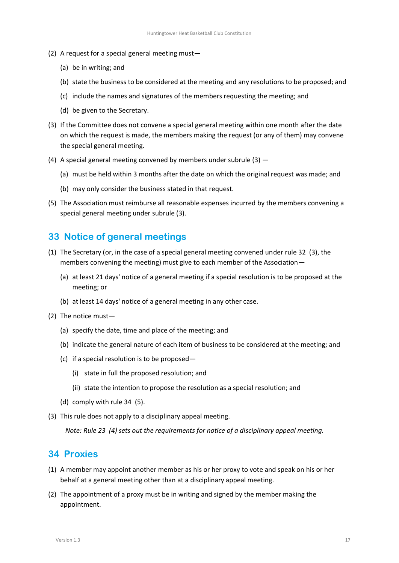- (2) A request for a special general meeting must—
	- (a) be in writing; and
	- (b) state the business to be considered at the meeting and any resolutions to be proposed; and
	- (c) include the names and signatures of the members requesting the meeting; and
	- (d) be given to the Secretary.
- <span id="page-16-2"></span>(3) If the Committee does not convene a special general meeting within one month after the date on which the request is made, the members making the request (or any of them) may convene the special general meeting.
- (4) A special general meeting convened by members under subrul[e \(3\)](#page-16-2)
	- (a) must be held within 3 months after the date on which the original request was made; and
	- (b) may only consider the business stated in that request.
- (5) The Association must reimburse all reasonable expenses incurred by the members convening a special general meeting under subrule (3).

## <span id="page-16-0"></span>**33 Notice of general meetings**

- (1) The Secretary (or, in the case of a special general meeting convened under rul[e 32 \(](#page-15-3)3), the members convening the meeting) must give to each member of the Association—
	- (a) at least 21 days' notice of a general meeting if a special resolution is to be proposed at the meeting; or
	- (b) at least 14 days' notice of a general meeting in any other case.
- (2) The notice must—
	- (a) specify the date, time and place of the meeting; and
	- (b) indicate the general nature of each item of business to be considered at the meeting; and
	- (c) if a special resolution is to be proposed—
		- (i) state in full the proposed resolution; and
		- (ii) state the intention to propose the resolution as a special resolution; and
	- (d) comply with rule [34 \(](#page-16-1)5).
- (3) This rule does not apply to a disciplinary appeal meeting.

*Note: Rul[e 23 \(](#page-12-1)4) sets out the requirements for notice of a disciplinary appeal meeting.*

### <span id="page-16-1"></span>**34 Proxies**

- (1) A member may appoint another member as his or her proxy to vote and speak on his or her behalf at a general meeting other than at a disciplinary appeal meeting.
- (2) The appointment of a proxy must be in writing and signed by the member making the appointment.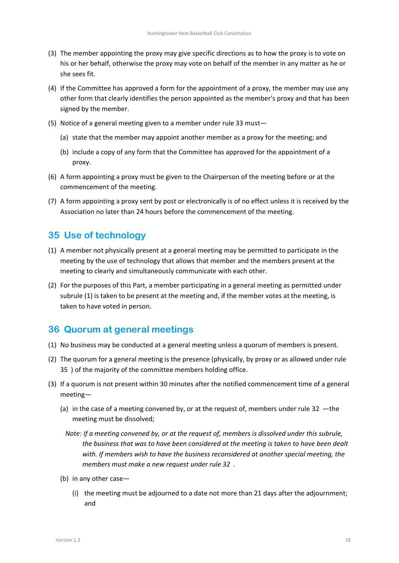- (3) The member appointing the proxy may give specific directions as to how the proxy is to vote on his or her behalf, otherwise the proxy may vote on behalf of the member in any matter as he or she sees fit.
- (4) If the Committee has approved a form for the appointment of a proxy, the member may use any other form that clearly identifies the person appointed as the member's proxy and that has been signed by the member.
- (5) Notice of a general meeting given to a member under rule 33 must—
	- (a) state that the member may appoint another member as a proxy for the meeting; and
	- (b) include a copy of any form that the Committee has approved for the appointment of a proxy.
- (6) A form appointing a proxy must be given to the Chairperson of the meeting before or at the commencement of the meeting.
- (7) A form appointing a proxy sent by post or electronically is of no effect unless it is received by the Association no later than 24 hours before the commencement of the meeting.

# <span id="page-17-1"></span>**35 Use of technology**

- (1) A member not physically present at a general meeting may be permitted to participate in the meeting by the use of technology that allows that member and the members present at the meeting to clearly and simultaneously communicate with each other.
- (2) For the purposes of this Part, a member participating in a general meeting as permitted under subrule (1) is taken to be present at the meeting and, if the member votes at the meeting, is taken to have voted in person.

# <span id="page-17-0"></span>**36 Quorum at general meetings**

- (1) No business may be conducted at a general meeting unless a quorum of members is present.
- (2) The quorum for a general meeting is the presence (physically, by proxy or as allowed under rule [35 \)](#page-17-1) of the majority of the committee members holding office.
- (3) If a quorum is not present within 30 minutes after the notified commencement time of a general meeting—
	- (a) in the case of a meeting convened by, or at the request of, members under rule [32](#page-15-3) —the meeting must be dissolved;
		- *Note: If a meeting convened by, or at the request of, members is dissolved under this subrule, the business that was to have been considered at the meeting is taken to have been dealt with. If members wish to have the business reconsidered at another special meeting, the members must make a new request under rul[e 32 .](#page-15-3)*
	- (b) in any other case—
		- (i) the meeting must be adjourned to a date not more than 21 days after the adjournment; and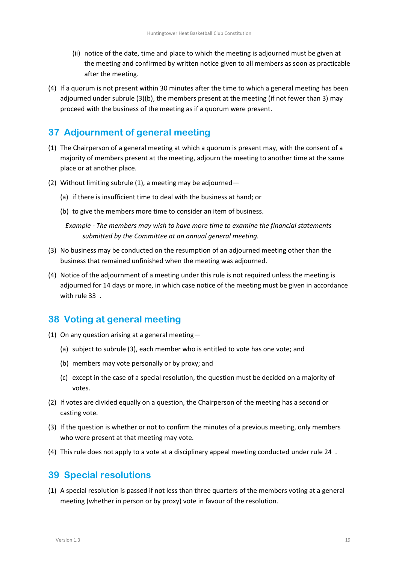- (ii) notice of the date, time and place to which the meeting is adjourned must be given at the meeting and confirmed by written notice given to all members as soon as practicable after the meeting.
- (4) If a quorum is not present within 30 minutes after the time to which a general meeting has been adjourned under subrule (3)(b), the members present at the meeting (if not fewer than 3) may proceed with the business of the meeting as if a quorum were present.

# <span id="page-18-0"></span>**37 Adjournment of general meeting**

- (1) The Chairperson of a general meeting at which a quorum is present may, with the consent of a majority of members present at the meeting, adjourn the meeting to another time at the same place or at another place.
- (2) Without limiting subrule (1), a meeting may be adjourned—
	- (a) if there is insufficient time to deal with the business at hand; or
	- (b) to give the members more time to consider an item of business.

*Example - The members may wish to have more time to examine the financial statements submitted by the Committee at an annual general meeting.*

- (3) No business may be conducted on the resumption of an adjourned meeting other than the business that remained unfinished when the meeting was adjourned.
- (4) Notice of the adjournment of a meeting under this rule is not required unless the meeting is adjourned for 14 days or more, in which case notice of the meeting must be given in accordance with rule [33 .](#page-16-0)

# <span id="page-18-1"></span>**38 Voting at general meeting**

- (1) On any question arising at a general meeting—
	- (a) subject to subrule (3), each member who is entitled to vote has one vote; and
	- (b) members may vote personally or by proxy; and
	- (c) except in the case of a special resolution, the question must be decided on a majority of votes.
- (2) If votes are divided equally on a question, the Chairperson of the meeting has a second or casting vote.
- (3) If the question is whether or not to confirm the minutes of a previous meeting, only members who were present at that meeting may vote.
- (4) This rule does not apply to a vote at a disciplinary appeal meeting conducted under rule [24 .](#page-13-0)

### <span id="page-18-2"></span>**39 Special resolutions**

(1) A special resolution is passed if not less than three quarters of the members voting at a general meeting (whether in person or by proxy) vote in favour of the resolution.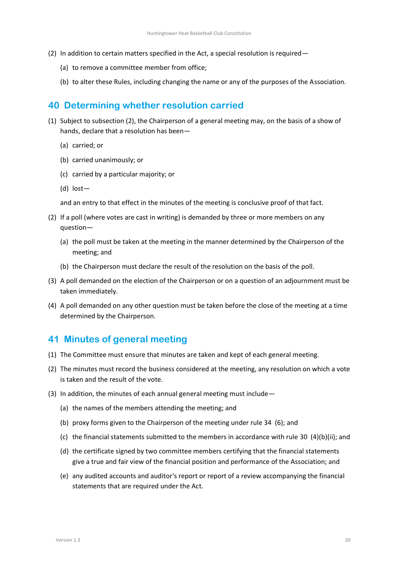- (2) In addition to certain matters specified in the Act, a special resolution is required—
	- (a) to remove a committee member from office;
	- (b) to alter these Rules, including changing the name or any of the purposes of the Association.

### <span id="page-19-0"></span>**40 Determining whether resolution carried**

- (1) Subject to subsection (2), the Chairperson of a general meeting may, on the basis of a show of hands, declare that a resolution has been—
	- (a) carried; or
	- (b) carried unanimously; or
	- (c) carried by a particular majority; or
	- (d) lost—

and an entry to that effect in the minutes of the meeting is conclusive proof of that fact.

- (2) If a poll (where votes are cast in writing) is demanded by three or more members on any question—
	- (a) the poll must be taken at the meeting in the manner determined by the Chairperson of the meeting; and
	- (b) the Chairperson must declare the result of the resolution on the basis of the poll.
- (3) A poll demanded on the election of the Chairperson or on a question of an adjournment must be taken immediately.
- (4) A poll demanded on any other question must be taken before the close of the meeting at a time determined by the Chairperson.

### <span id="page-19-1"></span>**41 Minutes of general meeting**

- (1) The Committee must ensure that minutes are taken and kept of each general meeting.
- (2) The minutes must record the business considered at the meeting, any resolution on which a vote is taken and the result of the vote.
- (3) In addition, the minutes of each annual general meeting must include—
	- (a) the names of the members attending the meeting; and
	- (b) proxy forms given to the Chairperson of the meeting under rule [34 \(](#page-16-1)6); and
	- (c) the financial statements submitted to the members in accordance with rule [30 \(](#page-15-1)4)(b)(ii); and
	- (d) the certificate signed by two committee members certifying that the financial statements give a true and fair view of the financial position and performance of the Association; and
	- (e) any audited accounts and auditor's report or report of a review accompanying the financial statements that are required under the Act.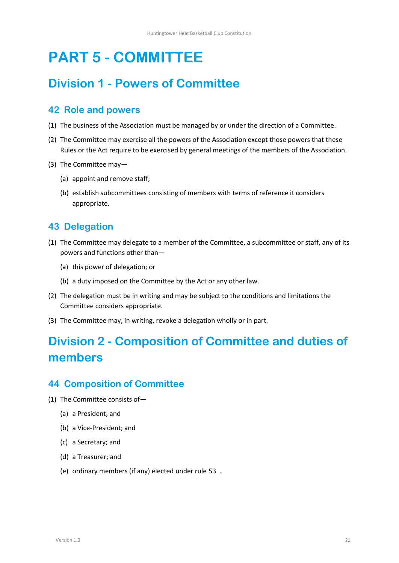# <span id="page-20-0"></span>**PART 5 - COMMITTEE**

# **Division 1 - Powers of Committee**

# <span id="page-20-1"></span>**42 Role and powers**

- (1) The business of the Association must be managed by or under the direction of a Committee.
- (2) The Committee may exercise all the powers of the Association except those powers that these Rules or the Act require to be exercised by general meetings of the members of the Association.
- (3) The Committee may—
	- (a) appoint and remove staff;
	- (b) establish subcommittees consisting of members with terms of reference it considers appropriate.

# <span id="page-20-2"></span>**43 Delegation**

- (1) The Committee may delegate to a member of the Committee, a subcommittee or staff, any of its powers and functions other than—
	- (a) this power of delegation; or
	- (b) a duty imposed on the Committee by the Act or any other law.
- (2) The delegation must be in writing and may be subject to the conditions and limitations the Committee considers appropriate.
- (3) The Committee may, in writing, revoke a delegation wholly or in part.

# **Division 2 - Composition of Committee and duties of members**

### <span id="page-20-3"></span>**44 Composition of Committee**

- (1) The Committee consists of—
	- (a) a President; and
	- (b) a Vice-President; and
	- (c) a Secretary; and
	- (d) a Treasurer; and
	- (e) ordinary members (if any) elected under rule [53 .](#page-23-3)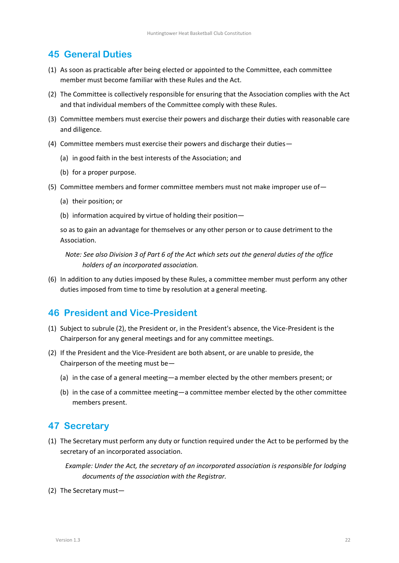## <span id="page-21-0"></span>**45 General Duties**

- (1) As soon as practicable after being elected or appointed to the Committee, each committee member must become familiar with these Rules and the Act.
- (2) The Committee is collectively responsible for ensuring that the Association complies with the Act and that individual members of the Committee comply with these Rules.
- (3) Committee members must exercise their powers and discharge their duties with reasonable care and diligence.
- (4) Committee members must exercise their powers and discharge their duties—
	- (a) in good faith in the best interests of the Association; and
	- (b) for a proper purpose.
- (5) Committee members and former committee members must not make improper use of—
	- (a) their position; or
	- (b) information acquired by virtue of holding their position—

so as to gain an advantage for themselves or any other person or to cause detriment to the Association.

*Note: See also Division 3 of Part 6 of the Act which sets out the general duties of the office holders of an incorporated association.*

(6) In addition to any duties imposed by these Rules, a committee member must perform any other duties imposed from time to time by resolution at a general meeting.

### <span id="page-21-1"></span>**46 President and Vice-President**

- (1) Subject to subrule (2), the President or, in the President's absence, the Vice-President is the Chairperson for any general meetings and for any committee meetings.
- (2) If the President and the Vice-President are both absent, or are unable to preside, the Chairperson of the meeting must be—
	- (a) in the case of a general meeting—a member elected by the other members present; or
	- (b) in the case of a committee meeting—a committee member elected by the other committee members present.

### <span id="page-21-2"></span>**47 Secretary**

(1) The Secretary must perform any duty or function required under the Act to be performed by the secretary of an incorporated association.

*Example: Under the Act, the secretary of an incorporated association is responsible for lodging documents of the association with the Registrar.*

(2) The Secretary must—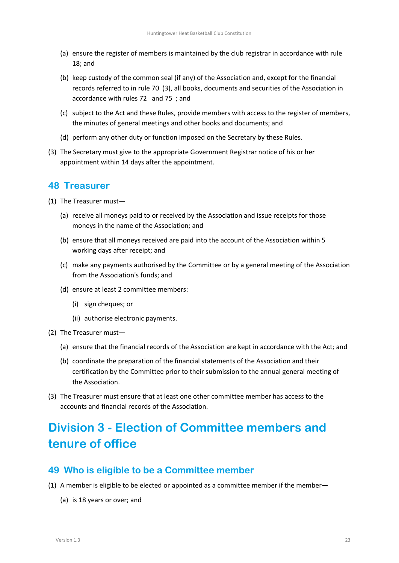- (a) ensure the register of members is maintained by the club registrar in accordance with rule 18; and
- (b) keep custody of the common seal (if any) of the Association and, except for the financial records referred to in rule [70 \(](#page-29-1)3), all books, documents and securities of the Association in accordance with rules [72 a](#page-30-1)nd [75 ;](#page-30-4) and
- (c) subject to the Act and these Rules, provide members with access to the register of members, the minutes of general meetings and other books and documents; and
- (d) perform any other duty or function imposed on the Secretary by these Rules.
- (3) The Secretary must give to the appropriate Government Registrar notice of his or her appointment within 14 days after the appointment.

### <span id="page-22-0"></span>**48 Treasurer**

- (1) The Treasurer must—
	- (a) receive all moneys paid to or received by the Association and issue receipts for those moneys in the name of the Association; and
	- (b) ensure that all moneys received are paid into the account of the Association within 5 working days after receipt; and
	- (c) make any payments authorised by the Committee or by a general meeting of the Association from the Association's funds; and
	- (d) ensure at least 2 committee members:
		- (i) sign cheques; or
		- (ii) authorise electronic payments.
- (2) The Treasurer must—
	- (a) ensure that the financial records of the Association are kept in accordance with the Act; and
	- (b) coordinate the preparation of the financial statements of the Association and their certification by the Committee prior to their submission to the annual general meeting of the Association.
- (3) The Treasurer must ensure that at least one other committee member has access to the accounts and financial records of the Association.

# **Division 3 - Election of Committee members and tenure of office**

### <span id="page-22-1"></span>**49 Who is eligible to be a Committee member**

- (1) A member is eligible to be elected or appointed as a committee member if the member—
	- (a) is 18 years or over; and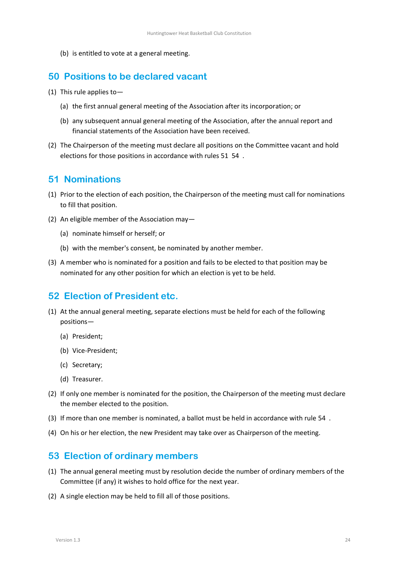(b) is entitled to vote at a general meeting.

# <span id="page-23-0"></span>**50 Positions to be declared vacant**

- (1) This rule applies to—
	- (a) the first annual general meeting of the Association after its incorporation; or
	- (b) any subsequent annual general meeting of the Association, after the annual report and financial statements of the Association have been received.
- (2) The Chairperson of the meeting must declare all positions on the Committee vacant and hold elections for those positions in accordance with rules [51](#page-23-1) [54 .](#page-24-0)

## <span id="page-23-1"></span>**51 Nominations**

- (1) Prior to the election of each position, the Chairperson of the meeting must call for nominations to fill that position.
- (2) An eligible member of the Association may—
	- (a) nominate himself or herself; or
	- (b) with the member's consent, be nominated by another member.
- (3) A member who is nominated for a position and fails to be elected to that position may be nominated for any other position for which an election is yet to be held.

# <span id="page-23-2"></span>**52 Election of President etc.**

- (1) At the annual general meeting, separate elections must be held for each of the following positions—
	- (a) President;
	- (b) Vice-President;
	- (c) Secretary;
	- (d) Treasurer.
- (2) If only one member is nominated for the position, the Chairperson of the meeting must declare the member elected to the position.
- (3) If more than one member is nominated, a ballot must be held in accordance with rule [54 .](#page-24-0)
- (4) On his or her election, the new President may take over as Chairperson of the meeting.

# <span id="page-23-3"></span>**53 Election of ordinary members**

- (1) The annual general meeting must by resolution decide the number of ordinary members of the Committee (if any) it wishes to hold office for the next year.
- (2) A single election may be held to fill all of those positions.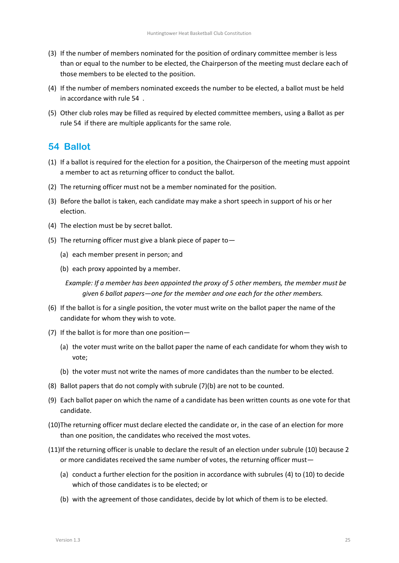- (3) If the number of members nominated for the position of ordinary committee member is less than or equal to the number to be elected, the Chairperson of the meeting must declare each of those members to be elected to the position.
- (4) If the number of members nominated exceeds the number to be elected, a ballot must be held in accordance with rule [54 .](#page-24-0)
- (5) Other club roles may be filled as required by elected committee members, using a Ballot as per rule [54 i](#page-24-0)f there are multiple applicants for the same role.

# <span id="page-24-0"></span>**54 Ballot**

- (1) If a ballot is required for the election for a position, the Chairperson of the meeting must appoint a member to act as returning officer to conduct the ballot.
- (2) The returning officer must not be a member nominated for the position.
- (3) Before the ballot is taken, each candidate may make a short speech in support of his or her election.
- <span id="page-24-3"></span>(4) The election must be by secret ballot.
- (5) The returning officer must give a blank piece of paper to—
	- (a) each member present in person; and
	- (b) each proxy appointed by a member.

*Example: If a member has been appointed the proxy of 5 other members, the member must be given 6 ballot papers—one for the member and one each for the other members.*

- (6) If the ballot is for a single position, the voter must write on the ballot paper the name of the candidate for whom they wish to vote.
- (7) If the ballot is for more than one position—
	- (a) the voter must write on the ballot paper the name of each candidate for whom they wish to vote;
	- (b) the voter must not write the names of more candidates than the number to be elected.
- <span id="page-24-1"></span>(8) Ballot papers that do not comply with subrule [\(7\)\(b\)](#page-24-1) are not to be counted.
- (9) Each ballot paper on which the name of a candidate has been written counts as one vote for that candidate.
- <span id="page-24-2"></span>(10)The returning officer must declare elected the candidate or, in the case of an election for more than one position, the candidates who received the most votes.
- (11)If the returning officer is unable to declare the result of an election under subrule [\(10\)](#page-24-2) because 2 or more candidates received the same number of votes, the returning officer must—
	- (a) conduct a further election for the position in accordance with subrules [\(4\)](#page-24-3) to [\(10\)](#page-24-2) to decide which of those candidates is to be elected; or
	- (b) with the agreement of those candidates, decide by lot which of them is to be elected.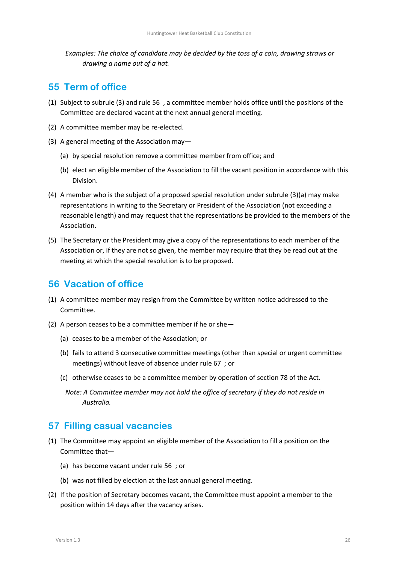*Examples: The choice of candidate may be decided by the toss of a coin, drawing straws or drawing a name out of a hat.*

### <span id="page-25-0"></span>**55 Term of office**

- (1) Subject to subrul[e \(3\)](#page-25-3) and rule [56 ,](#page-25-1) a committee member holds office until the positions of the Committee are declared vacant at the next annual general meeting.
- (2) A committee member may be re-elected.
- <span id="page-25-4"></span><span id="page-25-3"></span>(3) A general meeting of the Association may—
	- (a) by special resolution remove a committee member from office; and
	- (b) elect an eligible member of the Association to fill the vacant position in accordance with this Division.
- (4) A member who is the subject of a proposed special resolution under subrule [\(3\)\(a\)](#page-25-4) may make representations in writing to the Secretary or President of the Association (not exceeding a reasonable length) and may request that the representations be provided to the members of the Association.
- (5) The Secretary or the President may give a copy of the representations to each member of the Association or, if they are not so given, the member may require that they be read out at the meeting at which the special resolution is to be proposed.

### <span id="page-25-1"></span>**56 Vacation of office**

- (1) A committee member may resign from the Committee by written notice addressed to the Committee.
- (2) A person ceases to be a committee member if he or she—
	- (a) ceases to be a member of the Association; or
	- (b) fails to attend 3 consecutive committee meetings (other than special or urgent committee meetings) without leave of absence under rule [67 ;](#page-28-2) or
	- (c) otherwise ceases to be a committee member by operation of section 78 of the Act.
		- *Note: A Committee member may not hold the office of secretary if they do not reside in Australia.*

### <span id="page-25-2"></span>**57 Filling casual vacancies**

- <span id="page-25-5"></span>(1) The Committee may appoint an eligible member of the Association to fill a position on the Committee that—
	- (a) has become vacant under rule [56 ;](#page-25-1) or
	- (b) was not filled by election at the last annual general meeting.
- <span id="page-25-6"></span>(2) If the position of Secretary becomes vacant, the Committee must appoint a member to the position within 14 days after the vacancy arises.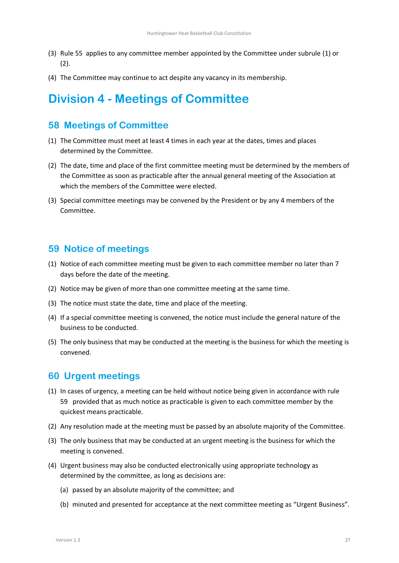- (3) Rule [55 a](#page-25-0)pplies to any committee member appointed by the Committee under subrule [\(1\)](#page-25-5) or [\(2\).](#page-25-6)
- (4) The Committee may continue to act despite any vacancy in its membership.

# **Division 4 - Meetings of Committee**

## <span id="page-26-1"></span>**58 Meetings of Committee**

- (1) The Committee must meet at least 4 times in each year at the dates, times and places determined by the Committee.
- (2) The date, time and place of the first committee meeting must be determined by the members of the Committee as soon as practicable after the annual general meeting of the Association at which the members of the Committee were elected.
- (3) Special committee meetings may be convened by the President or by any 4 members of the Committee.

### <span id="page-26-2"></span>**59 Notice of meetings**

- (1) Notice of each committee meeting must be given to each committee member no later than 7 days before the date of the meeting.
- (2) Notice may be given of more than one committee meeting at the same time.
- (3) The notice must state the date, time and place of the meeting.
- (4) If a special committee meeting is convened, the notice must include the general nature of the business to be conducted.
- (5) The only business that may be conducted at the meeting is the business for which the meeting is convened.

# <span id="page-26-0"></span>**60 Urgent meetings**

- (1) In cases of urgency, a meeting can be held without notice being given in accordance with rule [59](#page-26-2) provided that as much notice as practicable is given to each committee member by the quickest means practicable.
- (2) Any resolution made at the meeting must be passed by an absolute majority of the Committee.
- (3) The only business that may be conducted at an urgent meeting is the business for which the meeting is convened.
- (4) Urgent business may also be conducted electronically using appropriate technology as determined by the committee, as long as decisions are:
	- (a) passed by an absolute majority of the committee; and
	- (b) minuted and presented for acceptance at the next committee meeting as "Urgent Business".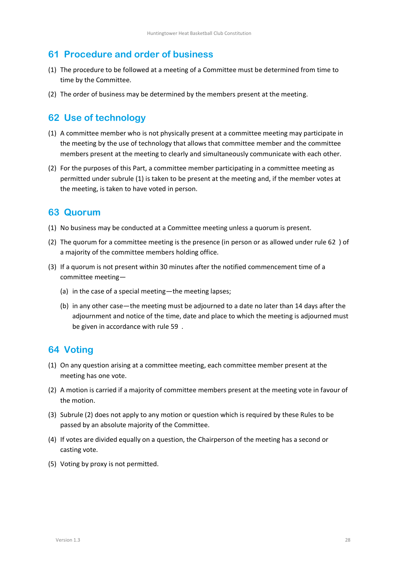# <span id="page-27-0"></span>**61 Procedure and order of business**

- (1) The procedure to be followed at a meeting of a Committee must be determined from time to time by the Committee.
- (2) The order of business may be determined by the members present at the meeting.

# <span id="page-27-1"></span>**62 Use of technology**

- <span id="page-27-4"></span>(1) A committee member who is not physically present at a committee meeting may participate in the meeting by the use of technology that allows that committee member and the committee members present at the meeting to clearly and simultaneously communicate with each other.
- (2) For the purposes of this Part, a committee member participating in a committee meeting as permitted under subrule [\(1\)](#page-27-4) is taken to be present at the meeting and, if the member votes at the meeting, is taken to have voted in person.

# <span id="page-27-2"></span>**63 Quorum**

- (1) No business may be conducted at a Committee meeting unless a quorum is present.
- (2) The quorum for a committee meeting is the presence (in person or as allowed under rule [62 \)](#page-27-1) of a majority of the committee members holding office.
- (3) If a quorum is not present within 30 minutes after the notified commencement time of a committee meeting—
	- (a) in the case of a special meeting—the meeting lapses;
	- (b) in any other case—the meeting must be adjourned to a date no later than 14 days after the adjournment and notice of the time, date and place to which the meeting is adjourned must be given in accordance with rule [59 .](#page-26-2)

# <span id="page-27-3"></span>**64 Voting**

- (1) On any question arising at a committee meeting, each committee member present at the meeting has one vote.
- <span id="page-27-5"></span>(2) A motion is carried if a majority of committee members present at the meeting vote in favour of the motion.
- (3) Subrule [\(2\)](#page-27-5) does not apply to any motion or question which is required by these Rules to be passed by an absolute majority of the Committee.
- (4) If votes are divided equally on a question, the Chairperson of the meeting has a second or casting vote.
- (5) Voting by proxy is not permitted.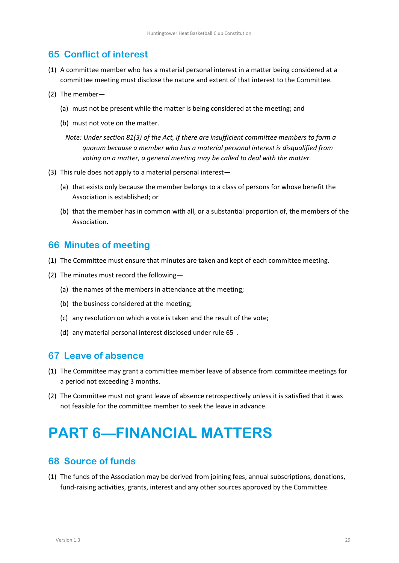### <span id="page-28-0"></span>**65 Conflict of interest**

- (1) A committee member who has a material personal interest in a matter being considered at a committee meeting must disclose the nature and extent of that interest to the Committee.
- (2) The member—
	- (a) must not be present while the matter is being considered at the meeting; and
	- (b) must not vote on the matter.
		- *Note: Under section 81(3) of the Act, if there are insufficient committee members to form a quorum because a member who has a material personal interest is disqualified from voting on a matter, a general meeting may be called to deal with the matter.*
- (3) This rule does not apply to a material personal interest—
	- (a) that exists only because the member belongs to a class of persons for whose benefit the Association is established; or
	- (b) that the member has in common with all, or a substantial proportion of, the members of the Association.

### <span id="page-28-1"></span>**66 Minutes of meeting**

- (1) The Committee must ensure that minutes are taken and kept of each committee meeting.
- (2) The minutes must record the following—
	- (a) the names of the members in attendance at the meeting;
	- (b) the business considered at the meeting;
	- (c) any resolution on which a vote is taken and the result of the vote;
	- (d) any material personal interest disclosed under rule [65 .](#page-28-0)

### <span id="page-28-2"></span>**67 Leave of absence**

- (1) The Committee may grant a committee member leave of absence from committee meetings for a period not exceeding 3 months.
- (2) The Committee must not grant leave of absence retrospectively unless it is satisfied that it was not feasible for the committee member to seek the leave in advance.

# <span id="page-28-3"></span>**PART 6—FINANCIAL MATTERS**

### <span id="page-28-4"></span>**68 Source of funds**

(1) The funds of the Association may be derived from joining fees, annual subscriptions, donations, fund-raising activities, grants, interest and any other sources approved by the Committee.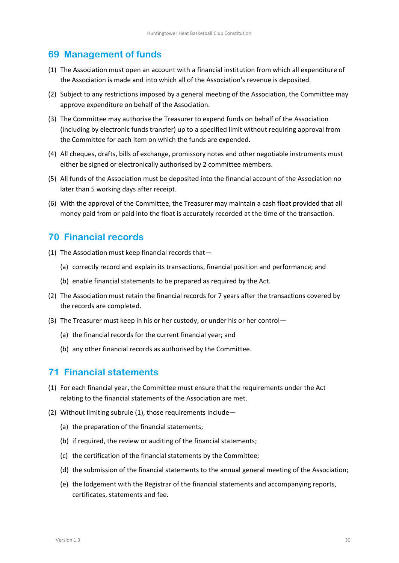### <span id="page-29-0"></span>**69 Management of funds**

- (1) The Association must open an account with a financial institution from which all expenditure of the Association is made and into which all of the Association's revenue is deposited.
- (2) Subject to any restrictions imposed by a general meeting of the Association, the Committee may approve expenditure on behalf of the Association.
- (3) The Committee may authorise the Treasurer to expend funds on behalf of the Association (including by electronic funds transfer) up to a specified limit without requiring approval from the Committee for each item on which the funds are expended.
- (4) All cheques, drafts, bills of exchange, promissory notes and other negotiable instruments must either be signed or electronically authorised by 2 committee members.
- (5) All funds of the Association must be deposited into the financial account of the Association no later than 5 working days after receipt.
- (6) With the approval of the Committee, the Treasurer may maintain a cash float provided that all money paid from or paid into the float is accurately recorded at the time of the transaction.

### <span id="page-29-1"></span>**70 Financial records**

- (1) The Association must keep financial records that—
	- (a) correctly record and explain its transactions, financial position and performance; and
	- (b) enable financial statements to be prepared as required by the Act.
- (2) The Association must retain the financial records for 7 years after the transactions covered by the records are completed.
- (3) The Treasurer must keep in his or her custody, or under his or her control—
	- (a) the financial records for the current financial year; and
	- (b) any other financial records as authorised by the Committee.

### <span id="page-29-2"></span>**71 Financial statements**

- <span id="page-29-3"></span>(1) For each financial year, the Committee must ensure that the requirements under the Act relating to the financial statements of the Association are met.
- (2) Without limiting subrul[e \(1\),](#page-29-3) those requirements include—
	- (a) the preparation of the financial statements;
	- (b) if required, the review or auditing of the financial statements;
	- (c) the certification of the financial statements by the Committee;
	- (d) the submission of the financial statements to the annual general meeting of the Association;
	- (e) the lodgement with the Registrar of the financial statements and accompanying reports, certificates, statements and fee.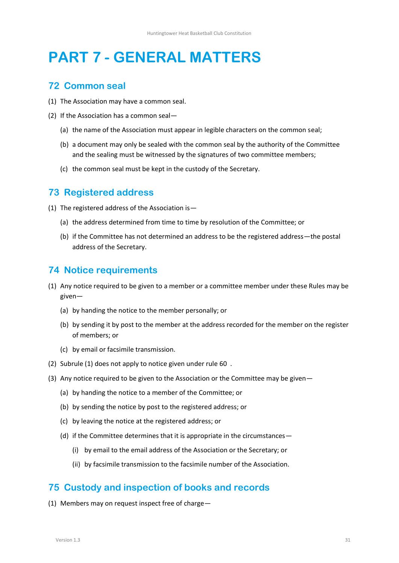# <span id="page-30-0"></span>**PART 7 - GENERAL MATTERS**

### <span id="page-30-1"></span>**72 Common seal**

- (1) The Association may have a common seal.
- (2) If the Association has a common seal—
	- (a) the name of the Association must appear in legible characters on the common seal;
	- (b) a document may only be sealed with the common seal by the authority of the Committee and the sealing must be witnessed by the signatures of two committee members;
	- (c) the common seal must be kept in the custody of the Secretary.

## <span id="page-30-2"></span>**73 Registered address**

- (1) The registered address of the Association is—
	- (a) the address determined from time to time by resolution of the Committee; or
	- (b) if the Committee has not determined an address to be the registered address—the postal address of the Secretary.

## <span id="page-30-3"></span>**74 Notice requirements**

- <span id="page-30-5"></span>(1) Any notice required to be given to a member or a committee member under these Rules may be given—
	- (a) by handing the notice to the member personally; or
	- (b) by sending it by post to the member at the address recorded for the member on the register of members; or
	- (c) by email or facsimile transmission.
- (2) Subrul[e \(1\)](#page-30-5) does not apply to notice given under rule [60 .](#page-26-0)
- (3) Any notice required to be given to the Association or the Committee may be given—
	- (a) by handing the notice to a member of the Committee; or
	- (b) by sending the notice by post to the registered address; or
	- (c) by leaving the notice at the registered address; or
	- (d) if the Committee determines that it is appropriate in the circumstances—
		- (i) by email to the email address of the Association or the Secretary; or
		- (ii) by facsimile transmission to the facsimile number of the Association.

# <span id="page-30-4"></span>**75 Custody and inspection of books and records**

(1) Members may on request inspect free of charge—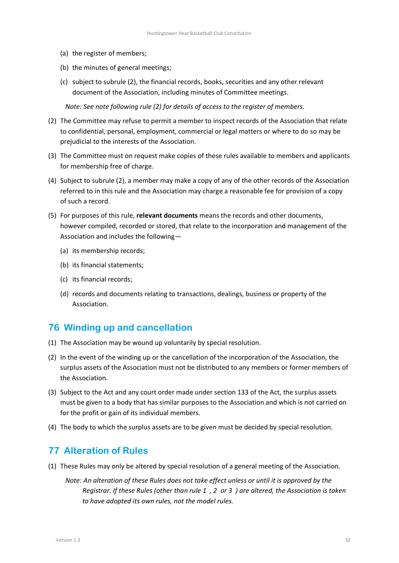- (a) the register of members;
- (b) the minutes of general meetings;
- (c) subject to subrul[e \(2\),](#page-31-2) the financial records, books, securities and any other relevant document of the Association, including minutes of Committee meetings.

*Note: See note following rule [\(2\)](#page-11-3) for details of access to the register of members.*

- <span id="page-31-2"></span>(2) The Committee may refuse to permit a member to inspect records of the Association that relate to confidential, personal, employment, commercial or legal matters or where to do so may be prejudicial to the interests of the Association.
- (3) The Committee must on request make copies of these rules available to members and applicants for membership free of charge.
- (4) Subject to subrul[e \(2\),](#page-31-2) a member may make a copy of any of the other records of the Association referred to in this rule and the Association may charge a reasonable fee for provision of a copy of such a record.
- (5) For purposes of this rule, **relevant documents** means the records and other documents, however compiled, recorded or stored, that relate to the incorporation and management of the Association and includes the following—
	- (a) its membership records;
	- (b) its financial statements;
	- (c) its financial records;
	- (d) records and documents relating to transactions, dealings, business or property of the Association.

### <span id="page-31-0"></span>**76 Winding up and cancellation**

- (1) The Association may be wound up voluntarily by special resolution.
- (2) In the event of the winding up or the cancellation of the incorporation of the Association, the surplus assets of the Association must not be distributed to any members or former members of the Association.
- (3) Subject to the Act and any court order made under section 133 of the Act, the surplus assets must be given to a body that has similar purposes to the Association and which is not carried on for the profit or gain of its individual members.
- (4) The body to which the surplus assets are to be given must be decided by special resolution.

### <span id="page-31-1"></span>**77 Alteration of Rules**

- (1) These Rules may only be altered by special resolution of a general meeting of the Association.
	- *Note: An alteration of these Rules does not take effect unless or until it is approved by the Registrar. If these Rules (other than rule [1 ,](#page-5-1) [2 o](#page-5-2)r [3 \)](#page-5-3) are altered, the Association is taken to have adopted its own rules, not the model rules.*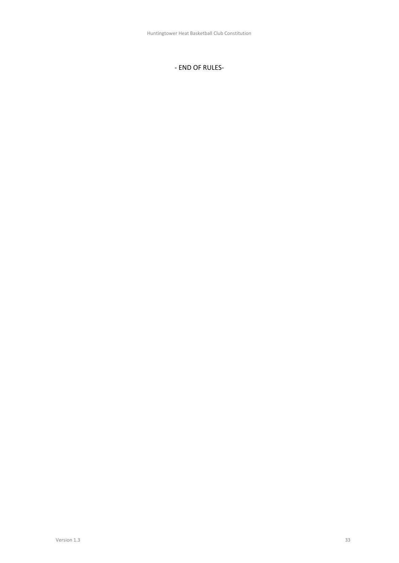#### - END OF RULES-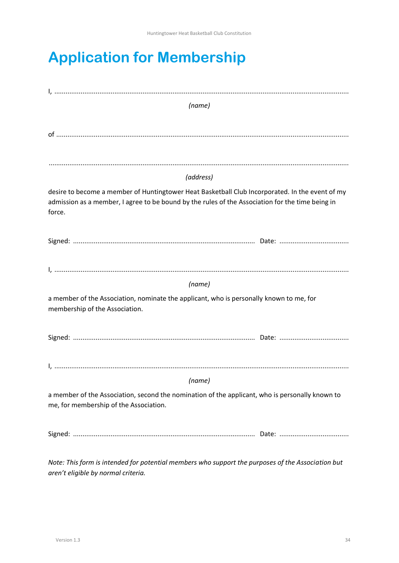# <span id="page-33-0"></span>**Application for Membership**

| (name)                                                                                            |  |  |
|---------------------------------------------------------------------------------------------------|--|--|
|                                                                                                   |  |  |
|                                                                                                   |  |  |
|                                                                                                   |  |  |
| (address)                                                                                         |  |  |
| desire to become a member of Huntingtower Heat Basketball Club Incorporated. In the event of my   |  |  |
| admission as a member, I agree to be bound by the rules of the Association for the time being in  |  |  |
| force.                                                                                            |  |  |
|                                                                                                   |  |  |
|                                                                                                   |  |  |
|                                                                                                   |  |  |
| (name)                                                                                            |  |  |
| a member of the Association, nominate the applicant, who is personally known to me, for           |  |  |
| membership of the Association.                                                                    |  |  |
|                                                                                                   |  |  |
|                                                                                                   |  |  |
|                                                                                                   |  |  |
| (name)                                                                                            |  |  |
| a member of the Association, second the nomination of the applicant, who is personally known to   |  |  |
| me, for membership of the Association.                                                            |  |  |
|                                                                                                   |  |  |
|                                                                                                   |  |  |
| Note: This form is intended for potential members who support the purposes of the Association but |  |  |

*aren't eligible by normal criteria.*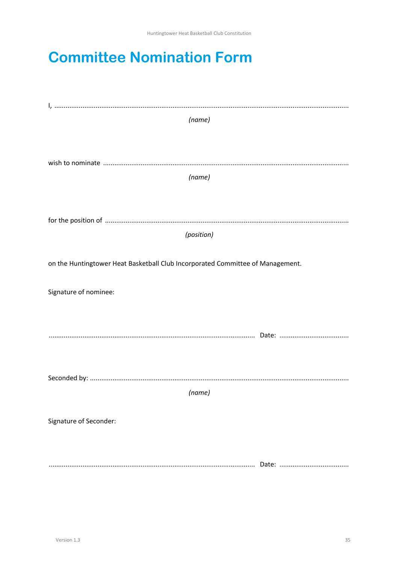# <span id="page-34-0"></span>**Committee Nomination Form**

| (name)                                                                         |  |
|--------------------------------------------------------------------------------|--|
|                                                                                |  |
|                                                                                |  |
| (name)                                                                         |  |
|                                                                                |  |
|                                                                                |  |
| (position)                                                                     |  |
|                                                                                |  |
| on the Huntingtower Heat Basketball Club Incorporated Committee of Management. |  |
| Signature of nominee:                                                          |  |
|                                                                                |  |
|                                                                                |  |
|                                                                                |  |
|                                                                                |  |
|                                                                                |  |
| (name)                                                                         |  |
| Signature of Seconder:                                                         |  |
|                                                                                |  |
|                                                                                |  |
|                                                                                |  |